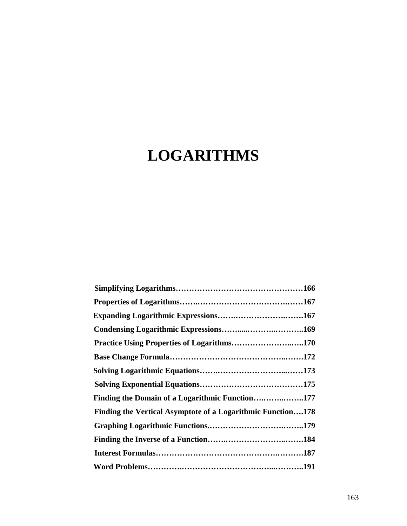# **LOGARITHMS**

| Practice Using Properties of Logarithms170                  |  |
|-------------------------------------------------------------|--|
|                                                             |  |
|                                                             |  |
|                                                             |  |
| Finding the Domain of a Logarithmic Function177             |  |
| Finding the Vertical Asymptote of a Logarithmic Function178 |  |
|                                                             |  |
|                                                             |  |
|                                                             |  |
|                                                             |  |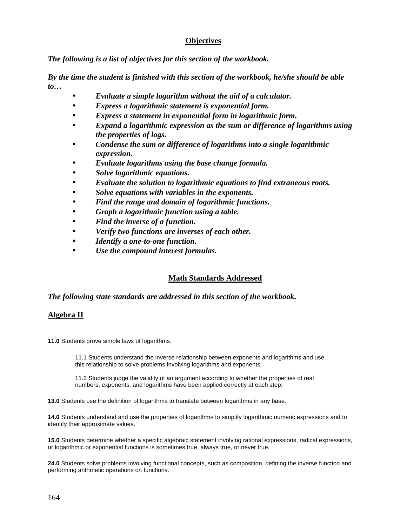# **Objectives**

*The following is a list of objectives for this section of the workbook.* 

*By the time the student is finished with this section of the workbook, he/she should be able to…* 

- *Evaluate a simple logarithm without the aid of a calculator.*
- *Express a logarithmic statement is exponential form.*
- *Express a statement in exponential form in logarithmic form.*
- *Expand a logarithmic expression as the sum or difference of logarithms using the properties of logs.*
- *Condense the sum or difference of logarithms into a single logarithmic expression.*
- *Evaluate logarithms using the base change formula.*
- *Solve logarithmic equations.*
- *Evaluate the solution to logarithmic equations to find extraneous roots.*
- *Solve equations with variables in the exponents.*
- *Find the range and domain of logarithmic functions.*
- *Graph a logarithmic function using a table.*
- *Find the inverse of a function.*
- *Verify two functions are inverses of each other.*
- *Identify a one-to-one function.*
- *Use the compound interest formulas.*

# **Math Standards Addressed**

# *The following state standards are addressed in this section of the workbook.*

# **Algebra II**

**11.0** Students prove simple laws of logarithms.

11.1 Students understand the inverse relationship between exponents and logarithms and use this relationship to solve problems involving logarithms and exponents.

11.2 Students judge the validity of an argument according to whether the properties of real numbers, exponents, and logarithms have been applied correctly at each step.

**13.0** Students use the definition of logarithms to translate between logarithms in any base.

**14.0** Students understand and use the properties of logarithms to simplify logarithmic numeric expressions and to identify their approximate values.

**15.0** Students determine whether a specific algebraic statement involving rational expressions, radical expressions, or logarithmic or exponential functions is sometimes true, always true, or never true.

**24.0** Students solve problems involving functional concepts, such as composition, defining the inverse function and performing arithmetic operations on functions.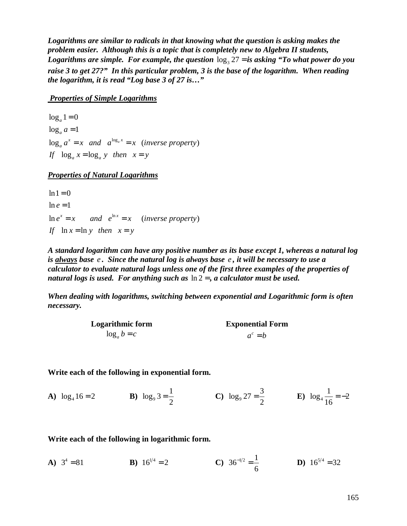*Logarithms are similar to radicals in that knowing what the question is asking makes the problem easier. Although this is a topic that is completely new to Algebra II students,*  Logarithms are simple. For example, the question  $\log_3 27 =$  is asking "To what power do you *raise 3 to get 27?" In this particular problem, 3 is the base of the logarithm. When reading the logarithm, it is read "Log base 3 of 27 is…"* 

#### *Properties of Simple Logarithms*

 $\log_a a^x = x$  and  $a^{\log_a x} = x$  (inverse property)  $\log_a 1 = 0$  $\log_a a = 1$ If  $\log_a x = \log_a y$  then  $x = y$  $a^{\alpha} = x$  and  $a^{\log_a x} = x$  (inverse property

# *Properties of Natural Logarithms*

 $\ln e^x = x$  and  $e^{\ln x} = x$  (inverse property)  $ln 1 = 0$  $\ln e = 1$ If  $\ln x = \ln y$  then  $x = y$ 

*A standard logarithm can have any positive number as its base except 1, whereas a natural log is always base e . Since the natural log is always base e , it will be necessary to use a calculator to evaluate natural logs unless one of the first three examples of the properties of natural logs is used. For anything such as* ln 2 = *, a calculator must be used.* 

*When dealing with logarithms, switching between exponential and Logarithmic form is often necessary.* 

| <b>Logarithmic form</b> | <b>Exponential Form</b> |
|-------------------------|-------------------------|
| $\log_a b = c$          | $a^c = b$               |

#### **Write each of the following in exponential form.**

**A**)  $\log_4 16 = 2$  **B**)  $\log_9 3 = \frac{1}{2}$  $=\frac{1}{2}$  C)  $\log_9 27 = \frac{3}{2}$  $=\frac{3}{2}$  **E**)  $\log_4 \frac{1}{16} = -2$ 16 = −

#### **Write each of the following in logarithmic form.**

**A)**  $3^4 = 81$  **B)**  $16^{1/4} = 2$  **C)**  $36^{-1/2} = \frac{1}{6}$ 6  $\overline{D}$  16<sup>5/4</sup> = 32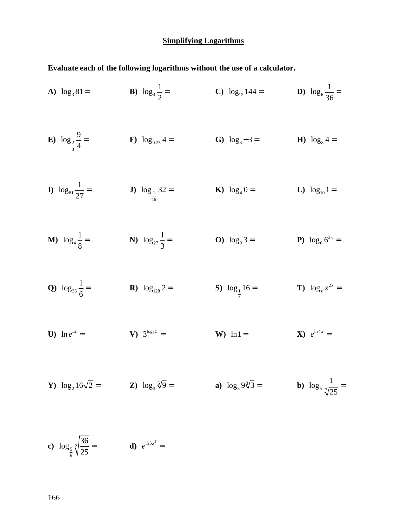#### **Simplifying Logarithms**

**Evaluate each of the following logarithms without the use of a calculator.** 

A)  $\log_3 81 =$  $\log_3 81 =$  **B**)  $\log_4 \frac{1}{2}$ 2  $=$  **C**)  $\log_{12} 144 =$  **D**)  $\log_6 \frac{1}{24}$ 36 =  $E)$   $log_2$ 3  $\log_2 \frac{9}{4}$  $\frac{1}{4}$  = **F**)  $\log_{0.25} 4$  = **G**)  $\log_{3} - 3$  = **H**)  $\log_{8}$ **H**)  $\log_8 4 =$ **I**)  $\log_{81} \frac{1}{25}$  $\frac{1}{27}$  = **J**)  $\log_{\frac{1}{16}}$ 16  $\log_1 32 =$  **K**)  $\log_4 0 =$  **L**)  $\log_{10} 1 =$ **M**)  $\log_4 \frac{1}{9}$ 8  $=$  N)  $\log_{27} \frac{1}{2}$ 3  $=$  **O**)  $\log_9 3 =$  **P**)  $\log_6 6^3$  $\log_6 6^{3x} =$ **Q**)  $\log_{36} \frac{1}{6}$ 6 **R**)  $\log_{128} 2 =$ 4  $\log_1 16 =$  **T**)  $\log_z z^{2x} =$ **U)**  $\ln e^{12} =$  **V)**  $3^{\log_3 5} =$ W)  $\ln 1 =$ **X**)  $e^{\ln 4x} =$ 

**Y**) 
$$
\log_2 16\sqrt{2} =
$$
 **Z**)  $\log_3 \sqrt[5]{9} =$  **a**)  $\log_3 9\sqrt[3]{3} =$  **b**)  $\log_5 \frac{1}{\sqrt[3]{25}} =$ 

c) 
$$
\log_{\frac{5}{6}} \sqrt[3]{\frac{36}{25}} =
$$
 d)  $e^{\ln 5x^2} =$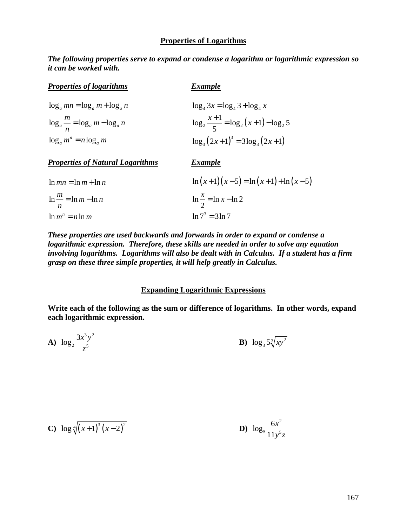#### **Properties of Logarithms**

*The following properties serve to expand or condense a logarithm or logarithmic expression so it can be worked with.* 

| <b>Properties of logarithms</b>            | <b>Example</b>                                   |
|--------------------------------------------|--------------------------------------------------|
| $\log_a mn = \log_a m + \log_a n$          | $\log_4 3x = \log_4 3 + \log_4 x$                |
| $\log_a \frac{m}{n} = \log_a m - \log_a n$ | $\log_2 \frac{x+1}{5} = \log_2 (x+1) - \log_2 5$ |
| $\log_a m^n = n \log_a m$                  | $\log_3(2x+1)^3 = 3\log_3(2x+1)$                 |

*Properties of Natural Logarithms Example*

| $\ln mn = \ln m + \ln n$          | $\ln(x+1)(x-5) = \ln(x+1) + \ln(x-5)$ |
|-----------------------------------|---------------------------------------|
| $\ln \frac{m}{m} = \ln m - \ln n$ | $\ln \frac{x}{2} = \ln x - \ln 2$     |
| $\ln m^n = n \ln m$               | $\ln 7^3 = 3 \ln 7$                   |

*These properties are used backwards and forwards in order to expand or condense a logarithmic expression. Therefore, these skills are needed in order to solve any equation involving logarithms. Logarithms will also be dealt with in Calculus. If a student has a firm grasp on these three simple properties, it will help greatly in Calculus.* 

#### **Expanding Logarithmic Expressions**

**Write each of the following as the sum or difference of logarithms. In other words, expand each logarithmic expression.** 

**A)** 
$$
\log_2 \frac{3x^3y^2}{z^5}
$$
 **B)**  $\log_3 5\sqrt[3]{xy^2}$ 

C) 
$$
\log \sqrt[4]{(x+1)^3 (x-2)^2}
$$
   
 D)  $\log_5 \frac{6x^2}{11y^5z}$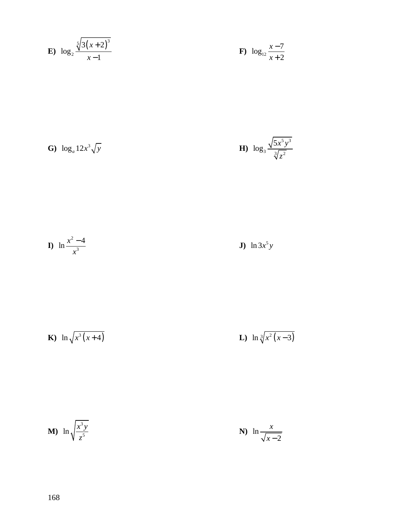**E)** 
$$
\log_2 \frac{\sqrt[5]{3(x+2)^3}}{x-1}
$$
 **F)**  $\log_{12} \frac{x-7}{x+2}$ 

**G)** 
$$
\log_a 12x^3 \sqrt{y}
$$
   
**H)**  $\log_3 \frac{\sqrt{5x^5 y^3}}{\sqrt[3]{z^2}}$ 

**I)** 
$$
\ln \frac{x^2 - 4}{x^3}
$$
 **J)**  $\ln 3x^5y$ 

**K**) 
$$
\ln \sqrt{x^3(x+4)}
$$
 **L**)  $\ln \sqrt[3]{x^2(x-3)}$ 

$$
\mathbf{M} \mathbf{M} \ln \sqrt{\frac{x^3 y}{z^5}} \qquad \qquad \mathbf{N} \mathbf{M} \ln \frac{x}{\sqrt{x-2}}
$$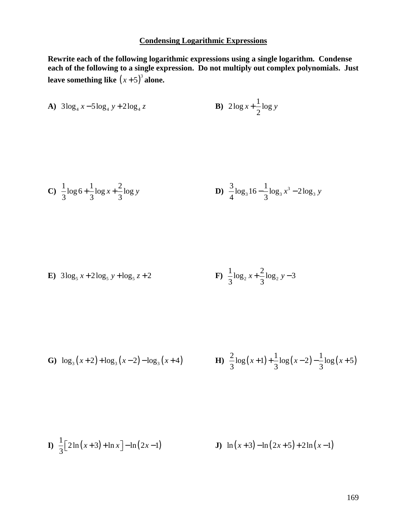# **Condensing Logarithmic Expressions**

**Rewrite each of the following logarithmic expressions using a single logarithm. Condense each of the following to a single expression. Do not multiply out complex polynomials. Just**  leave something like  $(x+5)^3$  alone.

**A)** 
$$
3\log_4 x - 5\log_4 y + 2\log_4 z
$$
 **B)**  $2\log x + \frac{1}{2}\log y$ 

**C**) 
$$
\frac{1}{3}\log 6 + \frac{1}{3}\log x + \frac{2}{3}\log y
$$
  
**D**)  $\frac{3}{4}\log_3 16 - \frac{1}{3}\log_3 x^3 - 2\log_3 y$ 

**E)** 
$$
3\log_5 x + 2\log_5 y + \log_5 z + 2
$$
  
**F)**  $\frac{1}{3}\log_2 x + \frac{2}{3}\log_2 y - 3$ 

**G**) 
$$
\log_3(x+2) + \log_3(x-2) - \log_3(x+4)
$$
   
**H**)  $\frac{2}{3}\log(x+1) + \frac{1}{3}\log(x-2) - \frac{1}{3}\log(x+5)$ 

**I**) 
$$
\frac{1}{3} [2\ln(x+3) + \ln x] - \ln(2x-1)
$$
   
**J**)  $\ln(x+3) - \ln(2x+5) + 2\ln(x-1)$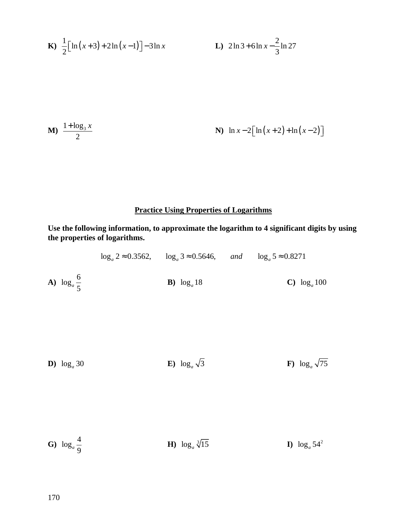**K**) 
$$
\frac{1}{2} [\ln(x+3) + 2\ln(x-1)] - 3\ln x
$$
   
**L**)  $2\ln 3 + 6\ln x - \frac{2}{3}\ln 27$ 

**M**) 
$$
\frac{1 + \log_3 x}{2}
$$
   
**N**)  $\ln x - 2[\ln(x+2) + \ln(x-2)]$ 

# **Practice Using Properties of Logarithms**

**Use the following information, to approximate the logarithm to 4 significant digits by using the properties of logarithms.** 

|                                 | $\log_a 2 \approx 0.3562$ , $\log_a 3 \approx 0.5646$ , and $\log_a 5 \approx 0.8271$ |                          |
|---------------------------------|---------------------------------------------------------------------------------------|--------------------------|
| <b>A</b> ) $\log_a \frac{6}{5}$ | <b>B</b> ) $\log_a 18$                                                                | C) $\log_a 100$          |
| D) $\log_a 30$                  | <b>E</b> ) $\log_a \sqrt{3}$                                                          | F) $\log_a \sqrt{75}$    |
| <b>G</b> ) $\log_a \frac{4}{9}$ | <b>H</b> ) $\log_a \sqrt[3]{15}$                                                      | <b>I</b> ) $\log_a 54^2$ |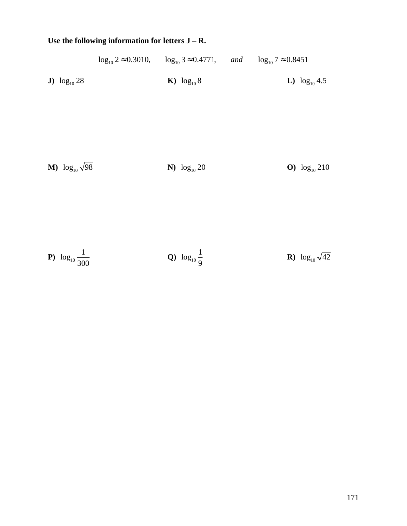# **Use the following information for letters J – R.**

|                                      | $\log_{10} 2 \approx 0.3010$ , $\log_{10} 3 \approx 0.4771$ , and $\log_{10} 7 \approx 0.8451$ |                                  |
|--------------------------------------|------------------------------------------------------------------------------------------------|----------------------------------|
| J) $\log_{10} 28$                    | <b>K</b> ) $\log_{10} 8$                                                                       | L) $\log_{10} 4.5$               |
| <b>M</b> ) $\log_{10} \sqrt{98}$     | N) $log_{10} 20$                                                                               | O) $\log_{10} 210$               |
| <b>P</b> ) $\log_{10} \frac{1}{300}$ | <b>Q</b> ) $\log_{10} \frac{1}{9}$                                                             | <b>R</b> ) $\log_{10} \sqrt{42}$ |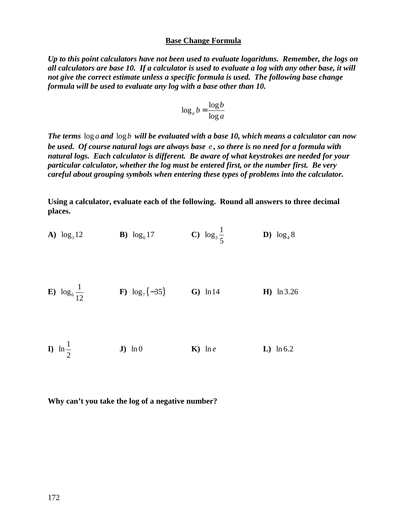#### **Base Change Formula**

*Up to this point calculators have not been used to evaluate logarithms. Remember, the logs on all calculators are base 10. If a calculator is used to evaluate a log with any other base, it will not give the correct estimate unless a specific formula is used. The following base change formula will be used to evaluate any log with a base other than 10.* 

$$
\log_a b = \frac{\log b}{\log a}
$$

*The terms* log *a and* log *b will be evaluated with a base 10, which means a calculator can now be used. Of course natural logs are always base e , so there is no need for a formula with natural logs. Each calculator is different. Be aware of what keystrokes are needed for your particular calculator, whether the log must be entered first, or the number first. Be very careful about grouping symbols when entering these types of problems into the calculator.* 

**Using a calculator, evaluate each of the following. Round all answers to three decimal places.** 

**A)** 
$$
\log_3 12
$$
 **B)**  $\log_6 17$  **C)**  $\log_3 \frac{1}{5}$  **D)**  $\log_4 8$ 

**E)** 
$$
\log_6 \frac{1}{12}
$$
 **F)**  $\log_7 (-35)$  **G)** ln14 **H)** ln 3.26

**I)**  $\ln \frac{1}{2}$ 2  **J)** ln 0 **K)** ln *e* **L)** ln 6.2

**Why can't you take the log of a negative number?**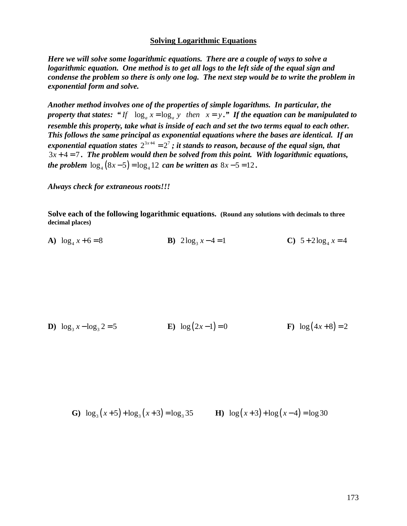#### **Solving Logarithmic Equations**

*Here we will solve some logarithmic equations. There are a couple of ways to solve a logarithmic equation. One method is to get all logs to the left side of the equal sign and condense the problem so there is only one log. The next step would be to write the problem in exponential form and solve.* 

*Another method involves one of the properties of simple logarithms. In particular, the property that states:* " $If \log_a x = \log_a y$  then  $x = y$ ." If the equation can be manipulated to *resemble this property, take what is inside of each and set the two terms equal to each other. This follows the same principal as exponential equations where the bases are identical. If an*  exponential equation states  $2^{3x+4} = 2^7$ ; it stands to reason, because of the equal sign, that  $3x + 4 = 7$ . The problem would then be solved from this point. With logarithmic equations, *the problem*  $\log_4(8x-5) = \log_4 12$  can be written as  $8x-5 = 12$ .

*Always check for extraneous roots!!!* 

**Solve each of the following logarithmic equations. (Round any solutions with decimals to three decimal places)** 

**A**)  $\log_4 x + 6 = 8$  **B**)  $2\log_3 x$  $2\log_3 x - 4 = 1$  **C**)  $5 + 2\log_4 x = 4$ 

**D**)  $\log_3 x - \log_3 2 = 5$  **E**)  $\log(2x-1) = 0$  **F**)  $\log(4x+8) = 2$ 

**G**)  $\log_3(x+5) + \log_3(x+3) = \log_3 35$  **H**)  $\log(x+3) + \log(x-4) = \log 30$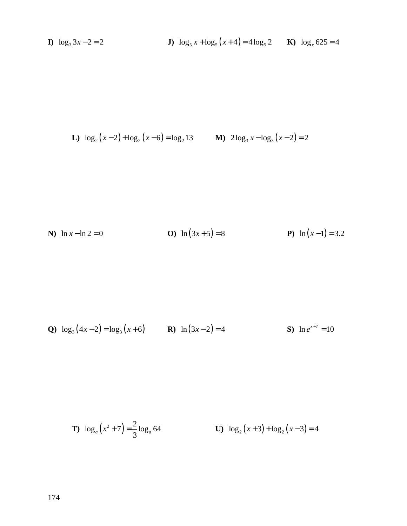**I)**  $\log_3 3x - 2 = 2$ 

L) 
$$
\log_2(x-2) + \log_2(x-6) = \log_2 13
$$
 M)  $2\log_3 x - \log_3(x-2) = 2$ 

N) 
$$
\ln x - \ln 2 = 0
$$
   
O)  $\ln (3x + 5) = 8$    
P)  $\ln (x - 1) = 3.2$ 

**Q**) 
$$
\log_3(4x-2) = \log_3(x+6)
$$
 **R**)  $\ln(3x-2) = 4$  **S**)  $\ln e^{x+7} = 10$ 

**T**) 
$$
\log_a(x^2 + 7) = \frac{2}{3}\log_a 64
$$
 **U**)  $\log_2(x+3) + \log_2(x-3) = 4$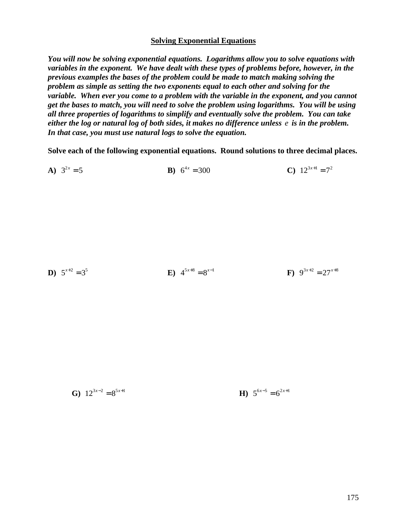#### **Solving Exponential Equations**

*You will now be solving exponential equations. Logarithms allow you to solve equations with variables in the exponent. We have dealt with these types of problems before, however, in the previous examples the bases of the problem could be made to match making solving the problem as simple as setting the two exponents equal to each other and solving for the variable. When ever you come to a problem with the variable in the exponent, and you cannot get the bases to match, you will need to solve the problem using logarithms. You will be using all three properties of logarithms to simplify and eventually solve the problem. You can take either the log or natural log of both sides, it makes no difference unless e is in the problem. In that case, you must use natural logs to solve the equation.*

**Solve each of the following exponential equations. Round solutions to three decimal places.** 

**A**)  $3^{2x} = 5$  $= 5$  **B**)  $6^{4x} = 300$  $= 300$  **C**)  $12^{3x+1} = 7^2$ 

$$
5^{x+2} = 3^5
$$
  
**E**)  $4^{5x+8} = 8^{x-1}$   
**F**)  $9^{3x+2} = 27^{x+8}$ 

**D**)

**G)**  $12^{3x-2} = 8^{5x+1}$  $= 8^{5x+1}$  **H**)  $5^{6x-5} = 6^{2x+1}$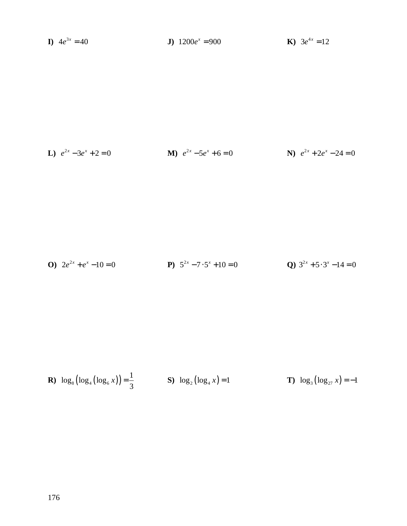**J**)  $1200e^x = 900$ **K**)  $3e^{4x} = 12$ **I**)  $4e^{3x} = 40$ 

**L**) 
$$
e^{2x} - 3e^x + 2 = 0
$$
  
**M**)  $e^{2x} - 5e^x + 6 = 0$   
**N**)  $e^{2x} + 2e^x - 24 = 0$ 

**O)** 
$$
2e^{2x} + e^x - 10 = 0
$$
  
**P)**  $5^{2x} - 7 \cdot 5^x + 10 = 0$   
**Q)**  $3^{2x} + 5 \cdot 3^x - 14 = 0$ 

**R**) 
$$
\log_8(\log_4(\log_6 x)) = \frac{1}{3}
$$
 **S**)  $\log_2(\log_4 x) = 1$  **T**)  $\log_3(\log_{27} x) = -1$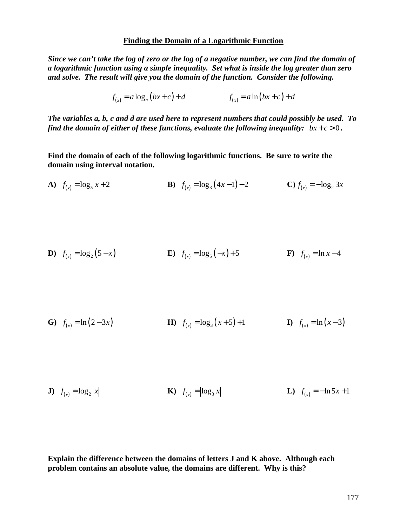#### **Finding the Domain of a Logarithmic Function**

*Since we can't take the log of zero or the log of a negative number, we can find the domain of a logarithmic function using a simple inequality. Set what is inside the log greater than zero and solve. The result will give you the domain of the function. Consider the following.* 

$$
f_{(x)} = a \log_n (bx + c) + d
$$
  $f_{(x)} = a \ln (bx + c) + d$ 

*The variables a, b, c and d are used here to represent numbers that could possibly be used. To find the domain of either of these functions, evaluate the following inequality:*  $bx + c > 0$ .

**Find the domain of each of the following logarithmic functions. Be sure to write the domain using interval notation.** 

**A)** 
$$
f_{(x)} = \log_5 x + 2
$$
   
**B)**  $f_{(x)} = \log_3 (4x - 1) - 2$    
**C)**  $f_{(x)} = -\log_2 3x$ 

**D**) 
$$
f_{(x)} = \log_2 (5 - x)
$$
   
**E**)  $f_{(x)} = \log_5 (-x) + 5$    
**F**)  $f_{(x)} = \ln x - 4$ 

**G**) 
$$
f_{(x)} = \ln(2-3x)
$$
   
**H**)  $f_{(x)} = \log_3(x+5)+1$    
**I**)  $f_{(x)} = \ln(x-3)$ 

**J**) 
$$
f_{(x)} = \log_2 |x|
$$
   
**K**)  $f_{(x)} = |\log_3 x|$    
**L**)  $f_{(x)} = -\ln 5x + 1$ 

**Explain the difference between the domains of letters J and K above. Although each problem contains an absolute value, the domains are different. Why is this?**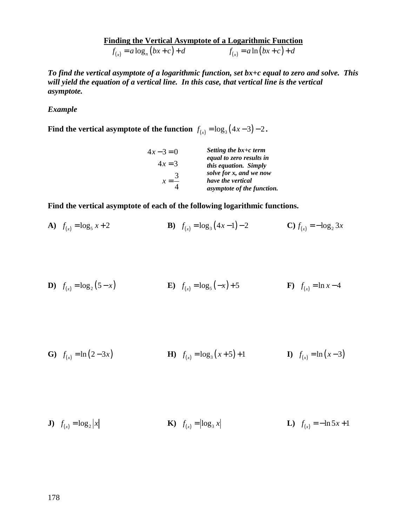**Finding the Vertical Asymptote of a Logarithmic Function**<br> $f_{(x)} = a \log_{n} (bx + c) + d$   $f_{(x)} = a \ln (bx + c) + d$  $f_{(x)} = a \log_n (bx + c) + d$   $f_{(x)} = a \ln (bx + c) + d$ 

*To find the vertical asymptote of a logarithmic function, set bx+c equal to zero and solve. This will yield the equation of a vertical line. In this case, that vertical line is the vertical asymptote.* 

# *Example*

**Find the vertical asymptote of the function**  $f_{(x)} = \log_3(4x-3) - 2$ .

| $4x-3=0$ | Setting the $bx+c$ term    |
|----------|----------------------------|
| $4x = 3$ | equal to zero results in   |
|          | this equation. Simply      |
| 3        | solve for x, and we now    |
| $x = -$  | have the vertical          |
|          | asymptote of the function. |

**Find the vertical asymptote of each of the following logarithmic functions.** 

**A)** 
$$
f_{(x)} = \log_5 x + 2
$$
   
**B)**  $f_{(x)} = \log_3 (4x - 1) - 2$    
**C)**  $f_{(x)} = -\log_2 3x$ 

**D**) 
$$
f_{(x)} = \log_2 (5 - x)
$$
   
**E**)  $f_{(x)} = \log_5 (-x) + 5$    
**F**)  $f_{(x)} = \ln x - 4$ 

**G**) 
$$
f_{(x)} = \ln(2-3x)
$$
   
**H**)  $f_{(x)} = \log_3(x+5)+1$    
**I**)  $f_{(x)} = \ln(x-3)$ 

**J**) 
$$
f_{(x)} = \log_2 |x|
$$
   
**K**)  $f_{(x)} = |\log_3 x|$    
**L**)  $f_{(x)} = -\ln 5x + 1$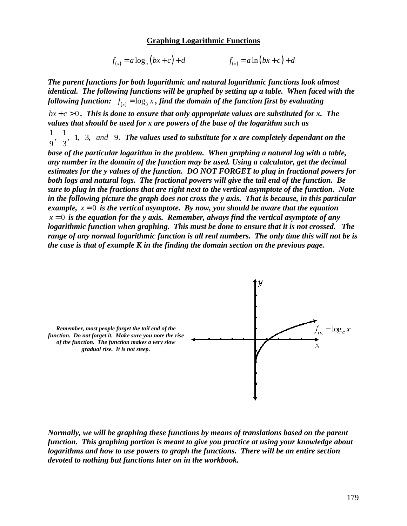#### **Graphing Logarithmic Functions**

$$
f_{(x)} = a \log_n (bx + c) + d \qquad f_{(x)} = a \ln (bx + c) + d
$$

*The parent functions for both logarithmic and natural logarithmic functions look almost identical. The following functions will be graphed by setting up a table. When faced with the*  following function:  $f_{(x)} = \log_3 x$  , find the domain of the function first by evaluating

 $bx + c > 0$ . This is done to ensure that only appropriate values are substituted for x. The *values that should be used for x are powers of the base of the logarithm such as* 

 $\frac{1}{2}$ ,  $\frac{1}{2}$ , 1, 3, and 9. 9 3 *and The values used to substitute for x are completely dependant on the* 

*base of the particular logarithm in the problem. When graphing a natural log with a table, any number in the domain of the function may be used. Using a calculator, get the decimal estimates for the y values of the function. DO NOT FORGET to plug in fractional powers for both logs and natural logs. The fractional powers will give the tail end of the function. Be sure to plug in the fractions that are right next to the vertical asymptote of the function. Note in the following picture the graph does not cross the y axis. That is because, in this particular example,*  $x = 0$  *is the vertical asymptote. By now, you should be aware that the equation*  $x = 0$  *is the equation for the y axis. Remember, always find the vertical asymptote of any logarithmic function when graphing. This must be done to ensure that it is not crossed. The range of any normal logarithmic function is all real numbers. The only time this will not be is the case is that of example K in the finding the domain section on the previous page.* 



*Normally, we will be graphing these functions by means of translations based on the parent function. This graphing portion is meant to give you practice at using your knowledge about logarithms and how to use powers to graph the functions. There will be an entire section devoted to nothing but functions later on in the workbook.*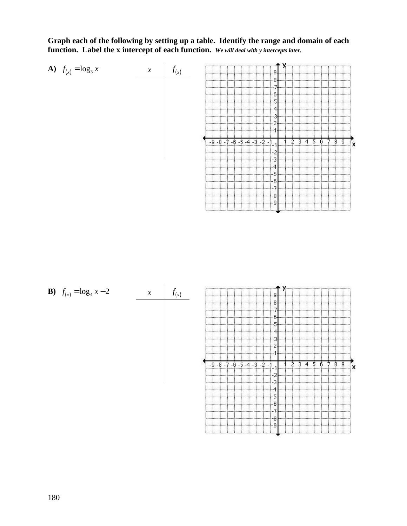**Graph each of the following by setting up a table. Identify the range and domain of each function. Label the x intercept of each function.** *We will deal with y intercepts later.*



| <b>B</b> ) $f_{(x)} = \log_4 x - 2$ | $\chi$ |    |                                  |                  |
|-------------------------------------|--------|----|----------------------------------|------------------|
|                                     |        |    |                                  |                  |
|                                     |        |    |                                  |                  |
|                                     |        |    |                                  |                  |
|                                     |        |    |                                  |                  |
|                                     |        |    |                                  |                  |
|                                     |        | -9 | $-8 - 7 - 6 - 5 - 4 - 3 - 2 - 1$ | 5<br>3<br>ĥ<br>8 |
|                                     |        |    |                                  |                  |
|                                     |        |    |                                  |                  |
|                                     |        |    |                                  |                  |
|                                     |        |    |                                  |                  |
|                                     |        |    |                                  |                  |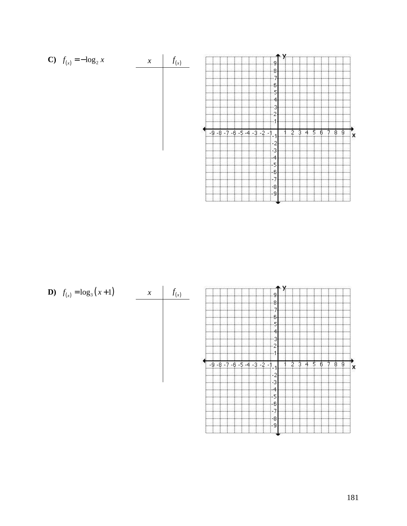

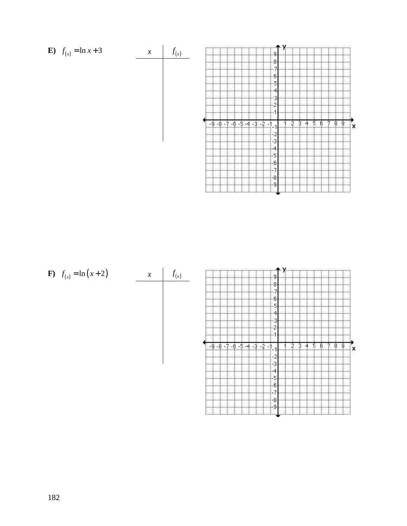

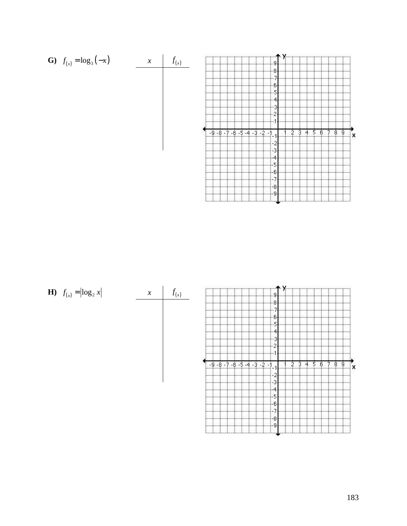

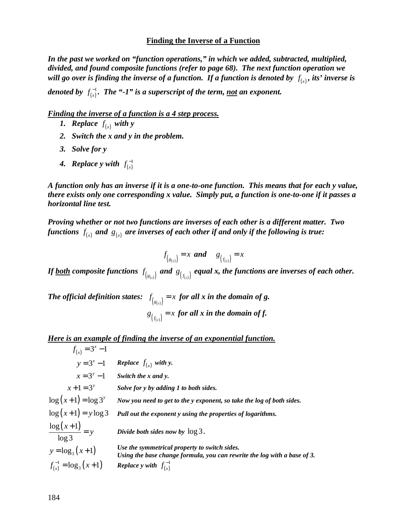#### **Finding the Inverse of a Function**

*In the past we worked on "function operations," in which we added, subtracted, multiplied, divided, and found composite functions (refer to page 68). The next function operation we will go over is finding the inverse of a function. If a function is denoted by*  $f_{(x)}$ *, its' inverse is* 

denoted by  $f_{(x)}^{-1}$  $f_{(x)}^{-1}$ . The "-1" is a superscript of the term, <u>not</u> an exponent.

#### *Finding the inverse of a function is a 4 step process.*

- *1. Replace*  $f_{(x)}$  with y
- *2. Switch the x and y in the problem.*
- *3. Solve for y*
- **4.** Replace y with  $f_{(x)}^{-1}$  $f(x)$

*A function only has an inverse if it is a one-to-one function. This means that for each y value, there exists only one corresponding x value. Simply put, a function is one-to-one if it passes a horizontal line test.* 

*Proving whether or not two functions are inverses of each other is a different matter. Two*  functions  $f_{(x)}$  and  $g_{(x)}$  are inverses of each other if and only if the following is true:

$$
f_{(s_{(x)})} = x \text{ and } s_{(f_{(x)})} = x
$$

If <u>both</u> composite functions  $f_{(s_{(x)})}$  and  $g_{(f_{(x)})}$  equal x, the functions are inverses of each other.

*The official definition states:*  $f_{(g_{(x)})} = x$  *for all x in the domain of g.*  $g_{(f_{(x)})} = x$  for all x in the domain of f.

*Here is an example of finding the inverse of an exponential function.*

$$
f_{(x)} = 3^{x} - 1
$$
  
\n
$$
y = 3^{x} - 1
$$
  
\n
$$
x = 3^{y} - 1
$$
  
\n
$$
x + 1 = 3^{y}
$$
  
\n
$$
x + 1 = 3^{y}
$$
  
\n
$$
x + 1 = 3^{y}
$$
  
\n
$$
y = 3^{y} - 1
$$
  
\n
$$
y = 3^{y} - 1
$$
  
\n
$$
y = 3^{y}
$$
  
\n
$$
y = 3^{y}
$$
  
\n
$$
y = 3^{y}
$$
  
\n
$$
y = 3^{y}
$$
  
\n
$$
y = 3^{y}
$$
  
\n
$$
y = 3^{y}
$$
  
\n
$$
y = 3^{y}
$$
  
\n
$$
y = 3^{y}
$$
  
\n
$$
y = 3^{y}
$$
  
\n
$$
y = 3^{y}
$$
  
\n
$$
y = 3^{y}
$$
  
\n
$$
y = 3^{y}
$$
  
\n
$$
y = 3^{y}
$$
  
\n
$$
y = 3^{y}
$$
  
\n
$$
y = 3^{y}
$$
  
\n
$$
y = 3^{y}
$$
  
\n
$$
y = 3^{y}
$$
  
\n
$$
y = 3^{y}
$$
  
\n
$$
y = 3^{y}
$$
  
\n
$$
y = 3^{y}
$$
  
\n
$$
y = 3^{y}
$$
  
\n
$$
y = 3^{y}
$$
  
\n
$$
y = 3^{y}
$$
  
\n
$$
y = 3^{y}
$$
  
\n
$$
y = 3^{y}
$$
  
\n
$$
y = 3^{y}
$$
  
\n
$$
y = 3^{y}
$$
  
\n
$$
y = 3^{y}
$$
  
\n
$$
y = 3^{y}
$$
  
\n
$$
y = 3^{y}
$$
  
\n
$$
y = 3^{y}
$$
  
\n
$$
y = 3^{y}
$$
  
\n
$$
y = 3^{y
$$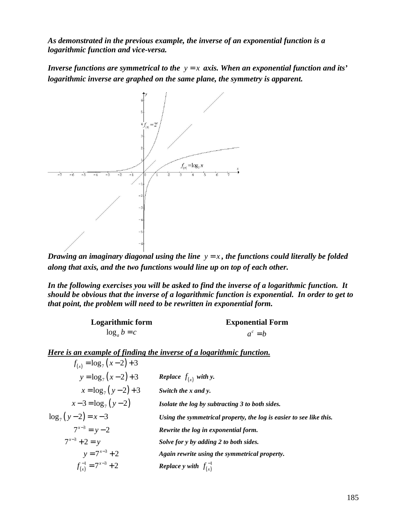*As demonstrated in the previous example, the inverse of an exponential function is a logarithmic function and vice-versa.* 

*Inverse functions are symmetrical to the*  $y = x$  *axis. When an exponential function and its' logarithmic inverse are graphed on the same plane, the symmetry is apparent.* 



*Drawing an imaginary diagonal using the line*  $y = x$ , the functions could literally be folded *along that axis, and the two functions would line up on top of each other.* 

*In the following exercises you will be asked to find the inverse of a logarithmic function. It should be obvious that the inverse of a logarithmic function is exponential. In order to get to that point, the problem will need to be rewritten in exponential form.* 

| <b>Logarithmic form</b> | <b>Exponential Form</b> |
|-------------------------|-------------------------|
| $\log_a b = c$          | $a^c = b$               |

*Here is an example of finding the inverse of a logarithmic function.*

| $f_{(x)} = \log_7(x-2) + 3$  |                                                                     |
|------------------------------|---------------------------------------------------------------------|
| $y = log_7(x-2)+3$           | <b>Replace</b> $f_{(x)}$ with y.                                    |
| $x = \log_7(y-2)+3$          | Switch the x and y.                                                 |
| $x-3 = \log_7(y-2)$          | Isolate the log by subtracting 3 to both sides.                     |
| $\log_7(y-2) = x-3$          | Using the symmetrical property, the log is easier to see like this. |
| $7^{x-3} = y-2$              | Rewrite the log in exponential form.                                |
| $7^{x-3} + 2 = y$            | Solve for y by adding 2 to both sides.                              |
| $y = 7^{x-3} + 2$            | Again rewrite using the symmetrical property.                       |
| $f_{(x)}^{-1} = 7^{x-3} + 2$ | <b>Replace</b> y with $f_{(x)}^{-1}$                                |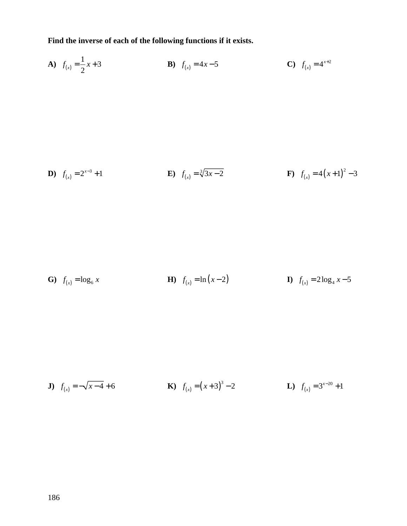**Find the inverse of each of the following functions if it exists.** 

**A)** 
$$
f_{(x)} = \frac{1}{2}x + 3
$$
   
**B)**  $f_{(x)} = 4x - 5$    
**C)**  $f_{(x)} = 4^{x+2}$ 

**D)** 
$$
f_{(x)} = 2^{x-3} + 1
$$
   
**E)**  $f_{(x)} = \sqrt[3]{3x-2}$    
**F)**  $f_{(x)} = 4(x+1)^2 - 3$ 

**G**) 
$$
f_{(x)} = \log_6 x
$$
   
**H**)  $f_{(x)} = \ln(x-2)$    
**I**)  $f_{(x)} = 2\log_4 x - 5$ 

**J**) 
$$
f_{(x)} = -\sqrt{x-4} + 6
$$
   
**K**)  $f_{(x)} = (x+3)^3 - 2$    
**L**)  $f_{(x)} = 3^{x-20} + 1$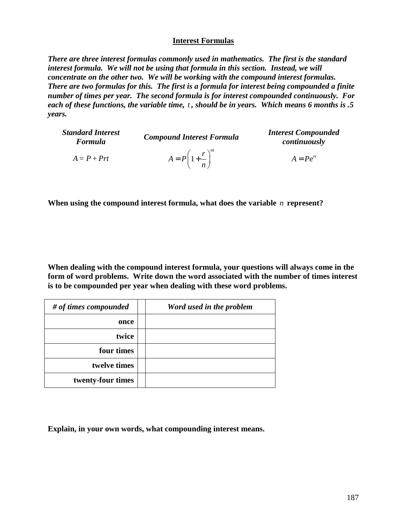## **Interest Formulas**

*There are three interest formulas commonly used in mathematics. The first is the standard interest formula. We will not be using that formula in this section. Instead, we will concentrate on the other two. We will be working with the compound interest formulas. There are two formulas for this. The first is a formula for interest being compounded a finite number of times per year. The second formula is for interest compounded continuously. For each of these functions, the variable time, t , should be in years. Which means 6 months is .5 years.* 

| <b>Standard Interest</b><br><b>Formula</b> | <b>Compound Interest Formula</b>         | <b>Interest Compounded</b><br>continuously |
|--------------------------------------------|------------------------------------------|--------------------------------------------|
| $A = P + Prt$                              | $A = P\left(1 + \frac{r}{n}\right)^{nt}$ | $A = Pe^{rt}$                              |

**When using the compound interest formula, what does the variable** *n* **represent?** 

**When dealing with the compound interest formula, your questions will always come in the form of word problems. Write down the word associated with the number of times interest is to be compounded per year when dealing with these word problems.** 

| # of times compounded | Word used in the problem |
|-----------------------|--------------------------|
| once                  |                          |
| twice                 |                          |
| four times            |                          |
| twelve times          |                          |
| twenty-four times     |                          |

**Explain, in your own words, what compounding interest means.**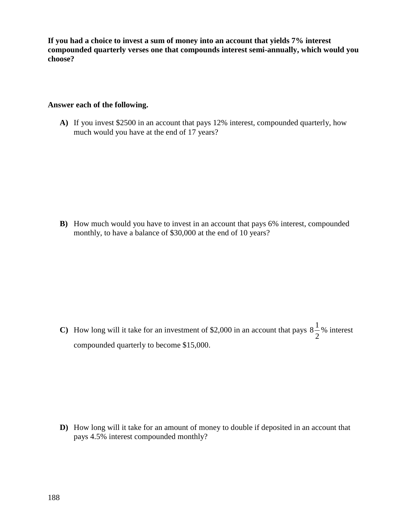**If you had a choice to invest a sum of money into an account that yields 7% interest compounded quarterly verses one that compounds interest semi-annually, which would you choose?** 

## **Answer each of the following.**

**A)** If you invest \$2500 in an account that pays 12% interest, compounded quarterly, how much would you have at the end of 17 years?

**B)** How much would you have to invest in an account that pays 6% interest, compounded monthly, to have a balance of \$30,000 at the end of 10 years?

**C**) How long will it take for an investment of \$2,000 in an account that pays  $8\frac{1}{2}$ 2 % interest compounded quarterly to become \$15,000.

**D)** How long will it take for an amount of money to double if deposited in an account that pays 4.5% interest compounded monthly?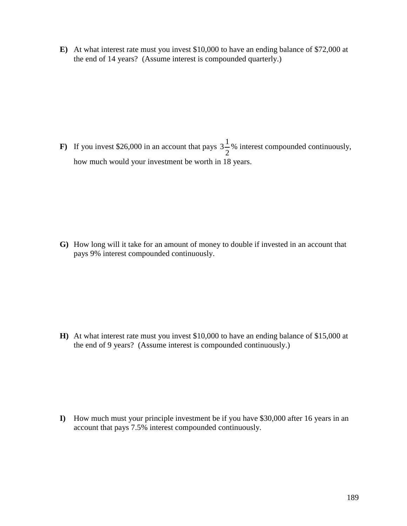**E)** At what interest rate must you invest \$10,000 to have an ending balance of \$72,000 at the end of 14 years? (Assume interest is compounded quarterly.)

**F**) If you invest \$26,000 in an account that pays  $3\frac{1}{2}$ 2 % interest compounded continuously, how much would your investment be worth in 18 years.

**G)** How long will it take for an amount of money to double if invested in an account that pays 9% interest compounded continuously.

**H)** At what interest rate must you invest \$10,000 to have an ending balance of \$15,000 at the end of 9 years? (Assume interest is compounded continuously.)

**I)** How much must your principle investment be if you have \$30,000 after 16 years in an account that pays 7.5% interest compounded continuously.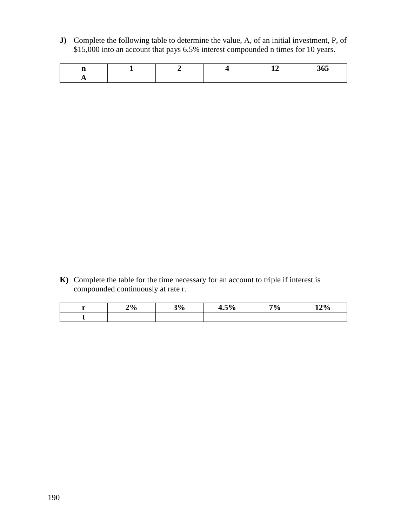**J)** Complete the following table to determine the value, A, of an initial investment, P, of \$15,000 into an account that pays 6.5% interest compounded n times for 10 years.

|  |  | --<br>- |
|--|--|---------|
|  |  |         |

**K)** Complete the table for the time necessary for an account to triple if interest is compounded continuously at rate r.

| $\mathbf{u}$ | 2% | 3% | 4.5% | $7\%$ | 12% |
|--------------|----|----|------|-------|-----|
|              |    |    |      |       |     |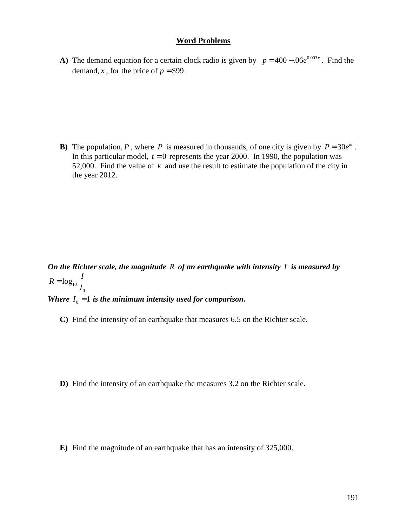#### **Word Problems**

**A)** The demand equation for a certain clock radio is given by  $p = 400 - .06e^{0.003x}$ . Find the demand, *x*, for the price of  $p = $99$ .

**B**) The population, *P*, where *P* is measured in thousands, of one city is given by  $P = 30e^{kt}$ . In this particular model,  $t = 0$  represents the year 2000. In 1990, the population was 52,000. Find the value of *k* and use the result to estimate the population of the city in the year 2012.

*On the Richter scale, the magnitude R of an earthquake with intensity I is measured by*  10  $\boldsymbol{0}$  $R = \log_{10} \frac{I}{I}$ *I* = *Where*  $I_0 = 1$  *is the minimum intensity used for comparison.* 

**C)** Find the intensity of an earthquake that measures 6.5 on the Richter scale.

**D)** Find the intensity of an earthquake the measures 3.2 on the Richter scale.

**E)** Find the magnitude of an earthquake that has an intensity of 325,000.